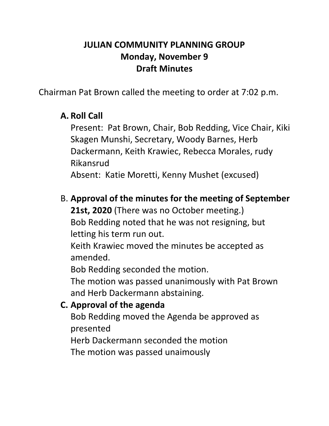#### **JULIAN COMMUNITY PLANNING GROUP Monday, November 9 Draft Minutes**

Chairman Pat Brown called the meeting to order at 7:02 p.m.

#### **A. Roll Call**

Present: Pat Brown, Chair, Bob Redding, Vice Chair, Kiki Skagen Munshi, Secretary, Woody Barnes, Herb Dackermann, Keith Krawiec, Rebecca Morales, rudy Rikansrud

Absent: Katie Moretti, Kenny Mushet (excused)

B. **Approval of the minutes for the meeting of September 21st, 2020** (There was no October meeting.)

Bob Redding noted that he was not resigning, but letting his term run out.

Keith Krawiec moved the minutes be accepted as amended.

Bob Redding seconded the motion.

The motion was passed unanimously with Pat Brown and Herb Dackermann abstaining.

### **C. Approval of the agenda**

Bob Redding moved the Agenda be approved as presented

Herb Dackermann seconded the motion

The motion was passed unaimously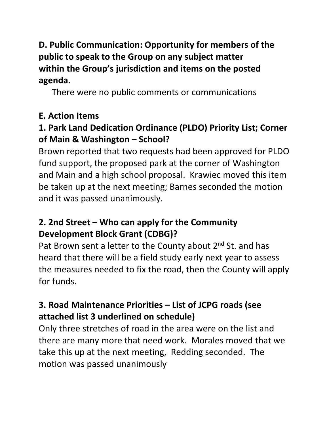**D. Public Communication: Opportunity for members of the public to speak to the Group on any subject matter within the Group's jurisdiction and items on the posted agenda.**

There were no public comments or communications

### **E. Action Items**

### **1. Park Land Dedication Ordinance (PLDO) Priority List; Corner of Main & Washington – School?**

Brown reported that two requests had been approved for PLDO fund support, the proposed park at the corner of Washington and Main and a high school proposal. Krawiec moved this item be taken up at the next meeting; Barnes seconded the motion and it was passed unanimously.

# **2. 2nd Street – Who can apply for the Community Development Block Grant (CDBG)?**

Pat Brown sent a letter to the County about  $2^{nd}$  St. and has heard that there will be a field study early next year to assess the measures needed to fix the road, then the County will apply for funds.

# **3. Road Maintenance Priorities – List of JCPG roads (see attached list 3 underlined on schedule)**

Only three stretches of road in the area were on the list and there are many more that need work. Morales moved that we take this up at the next meeting, Redding seconded. The motion was passed unanimously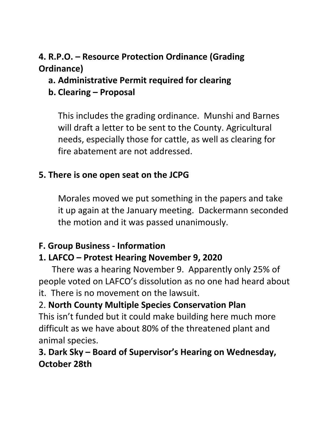# **4. R.P.O. – Resource Protection Ordinance (Grading Ordinance)**

# **a. Administrative Permit required for clearing**

# **b. Clearing – Proposal**

This includes the grading ordinance. Munshi and Barnes will draft a letter to be sent to the County. Agricultural needs, especially those for cattle, as well as clearing for fire abatement are not addressed.

# **5. There is one open seat on the JCPG**

Morales moved we put something in the papers and take it up again at the January meeting. Dackermann seconded the motion and it was passed unanimously.

# **F. Group Business - Information**

# **1. LAFCO – Protest Hearing November 9, 2020**

 There was a hearing November 9. Apparently only 25% of people voted on LAFCO's dissolution as no one had heard about it. There is no movement on the lawsuit.

### 2. **North County Multiple Species Conservation Plan**

This isn't funded but it could make building here much more difficult as we have about 80% of the threatened plant and animal species.

# **3. Dark Sky – Board of Supervisor's Hearing on Wednesday, October 28th**